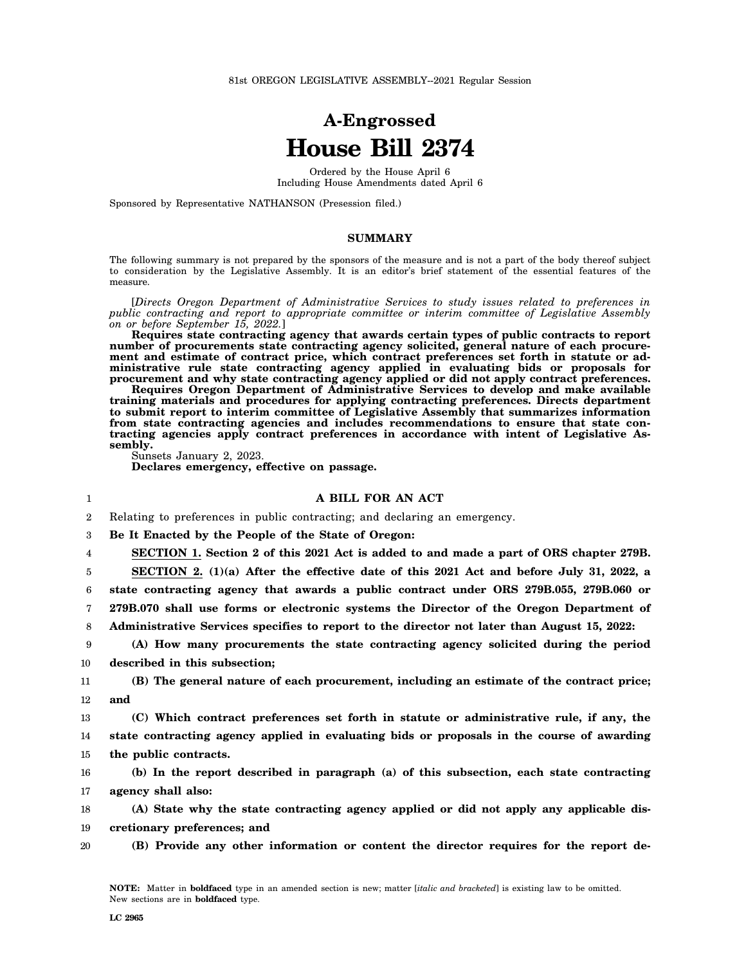## **A-Engrossed House Bill 2374**

Ordered by the House April 6 Including House Amendments dated April 6

Sponsored by Representative NATHANSON (Presession filed.)

## **SUMMARY**

The following summary is not prepared by the sponsors of the measure and is not a part of the body thereof subject to consideration by the Legislative Assembly. It is an editor's brief statement of the essential features of the measure.

[*Directs Oregon Department of Administrative Services to study issues related to preferences in public contracting and report to appropriate committee or interim committee of Legislative Assembly on or before September 15, 2022.*]

**Requires state contracting agency that awards certain types of public contracts to report number of procurements state contracting agency solicited, general nature of each procurement and estimate of contract price, which contract preferences set forth in statute or administrative rule state contracting agency applied in evaluating bids or proposals for procurement and why state contracting agency applied or did not apply contract preferences.**

**Requires Oregon Department of Administrative Services to develop and make available training materials and procedures for applying contracting preferences. Directs department to submit report to interim committee of Legislative Assembly that summarizes information from state contracting agencies and includes recommendations to ensure that state contracting agencies apply contract preferences in accordance with intent of Legislative Assembly.**

Sunsets January 2, 2023.

**Declares emergency, effective on passage.**

## 1 2 3 4 5 6 7 8 9 10 11 12 13 14 15 16 17 18 19 20 Relating to preferences in public contracting; and declaring an emergency. **Be It Enacted by the People of the State of Oregon: SECTION 1. Section 2 of this 2021 Act is added to and made a part of ORS chapter 279B. SECTION 2. (1)(a) After the effective date of this 2021 Act and before July 31, 2022, a state contracting agency that awards a public contract under ORS 279B.055, 279B.060 or 279B.070 shall use forms or electronic systems the Director of the Oregon Department of Administrative Services specifies to report to the director not later than August 15, 2022: (A) How many procurements the state contracting agency solicited during the period described in this subsection; (B) The general nature of each procurement, including an estimate of the contract price; and (C) Which contract preferences set forth in statute or administrative rule, if any, the state contracting agency applied in evaluating bids or proposals in the course of awarding the public contracts. (b) In the report described in paragraph (a) of this subsection, each state contracting agency shall also: (A) State why the state contracting agency applied or did not apply any applicable discretionary preferences; and (B) Provide any other information or content the director requires for the report de-**

## **A BILL FOR AN ACT**